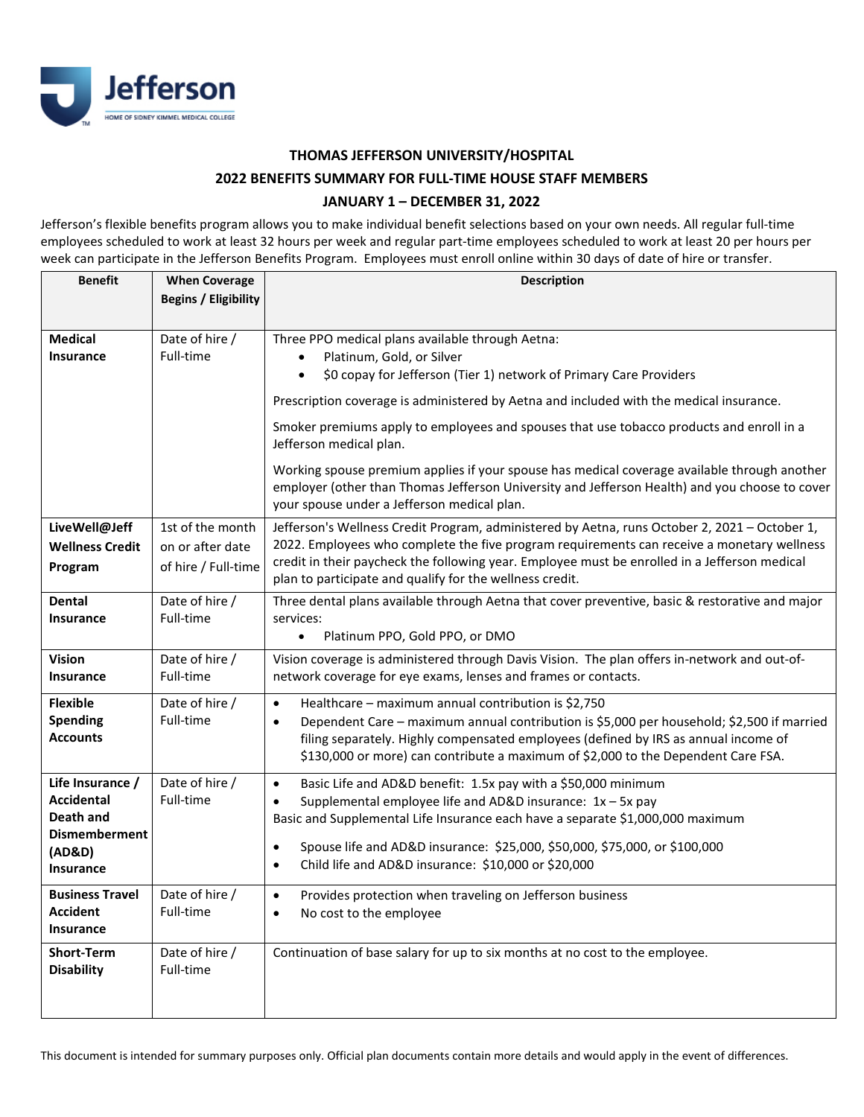

**THOMAS JEFFERSON UNIVERSITY/HOSPITAL**

## **2022 BENEFITS SUMMARY FOR FULL-TIME HOUSE STAFF MEMBERS**

## **JANUARY 1 – DECEMBER 31, 2022**

Jefferson's flexible benefits program allows you to make individual benefit selections based on your own needs. All regular full-time employees scheduled to work at least 32 hours per week and regular part-time employees scheduled to work at least 20 per hours per week can participate in the Jefferson Benefits Program. Employees must enroll online within 30 days of date of hire or transfer.

| <b>Benefit</b>                                                                                           | <b>When Coverage</b>                                        | <b>Description</b>                                                                                                                                                                                                                                                                                                                                                                             |
|----------------------------------------------------------------------------------------------------------|-------------------------------------------------------------|------------------------------------------------------------------------------------------------------------------------------------------------------------------------------------------------------------------------------------------------------------------------------------------------------------------------------------------------------------------------------------------------|
|                                                                                                          | <b>Begins / Eligibility</b>                                 |                                                                                                                                                                                                                                                                                                                                                                                                |
| <b>Medical</b><br><b>Insurance</b>                                                                       | Date of hire /<br>Full-time                                 | Three PPO medical plans available through Aetna:<br>Platinum, Gold, or Silver<br>$\bullet$<br>\$0 copay for Jefferson (Tier 1) network of Primary Care Providers<br>$\bullet$<br>Prescription coverage is administered by Aetna and included with the medical insurance.                                                                                                                       |
|                                                                                                          |                                                             | Smoker premiums apply to employees and spouses that use tobacco products and enroll in a<br>Jefferson medical plan.                                                                                                                                                                                                                                                                            |
|                                                                                                          |                                                             | Working spouse premium applies if your spouse has medical coverage available through another<br>employer (other than Thomas Jefferson University and Jefferson Health) and you choose to cover<br>your spouse under a Jefferson medical plan.                                                                                                                                                  |
| LiveWell@Jeff<br><b>Wellness Credit</b><br>Program                                                       | 1st of the month<br>on or after date<br>of hire / Full-time | Jefferson's Wellness Credit Program, administered by Aetna, runs October 2, 2021 - October 1,<br>2022. Employees who complete the five program requirements can receive a monetary wellness<br>credit in their paycheck the following year. Employee must be enrolled in a Jefferson medical<br>plan to participate and qualify for the wellness credit.                                       |
| <b>Dental</b><br><b>Insurance</b>                                                                        | Date of hire /<br>Full-time                                 | Three dental plans available through Aetna that cover preventive, basic & restorative and major<br>services:<br>Platinum PPO, Gold PPO, or DMO<br>$\bullet$                                                                                                                                                                                                                                    |
| <b>Vision</b><br><b>Insurance</b>                                                                        | Date of hire /<br>Full-time                                 | Vision coverage is administered through Davis Vision. The plan offers in-network and out-of-<br>network coverage for eye exams, lenses and frames or contacts.                                                                                                                                                                                                                                 |
| <b>Flexible</b><br><b>Spending</b><br><b>Accounts</b>                                                    | Date of hire /<br>Full-time                                 | Healthcare - maximum annual contribution is \$2,750<br>$\bullet$<br>Dependent Care - maximum annual contribution is \$5,000 per household; \$2,500 if married<br>$\bullet$<br>filing separately. Highly compensated employees (defined by IRS as annual income of<br>\$130,000 or more) can contribute a maximum of \$2,000 to the Dependent Care FSA.                                         |
| Life Insurance /<br><b>Accidental</b><br>Death and<br><b>Dismemberment</b><br>(AD&D)<br><b>Insurance</b> | Date of hire /<br>Full-time                                 | Basic Life and AD&D benefit: 1.5x pay with a \$50,000 minimum<br>$\bullet$<br>Supplemental employee life and AD&D insurance: 1x - 5x pay<br>$\bullet$<br>Basic and Supplemental Life Insurance each have a separate \$1,000,000 maximum<br>Spouse life and AD&D insurance: \$25,000, \$50,000, \$75,000, or \$100,000<br>٠<br>Child life and AD&D insurance: \$10,000 or \$20,000<br>$\bullet$ |
| <b>Business Travel</b><br><b>Accident</b><br>Insurance                                                   | Date of hire /<br>Full-time                                 | Provides protection when traveling on Jefferson business<br>$\bullet$<br>No cost to the employee                                                                                                                                                                                                                                                                                               |
| <b>Short-Term</b><br><b>Disability</b>                                                                   | Date of hire /<br>Full-time                                 | Continuation of base salary for up to six months at no cost to the employee.                                                                                                                                                                                                                                                                                                                   |